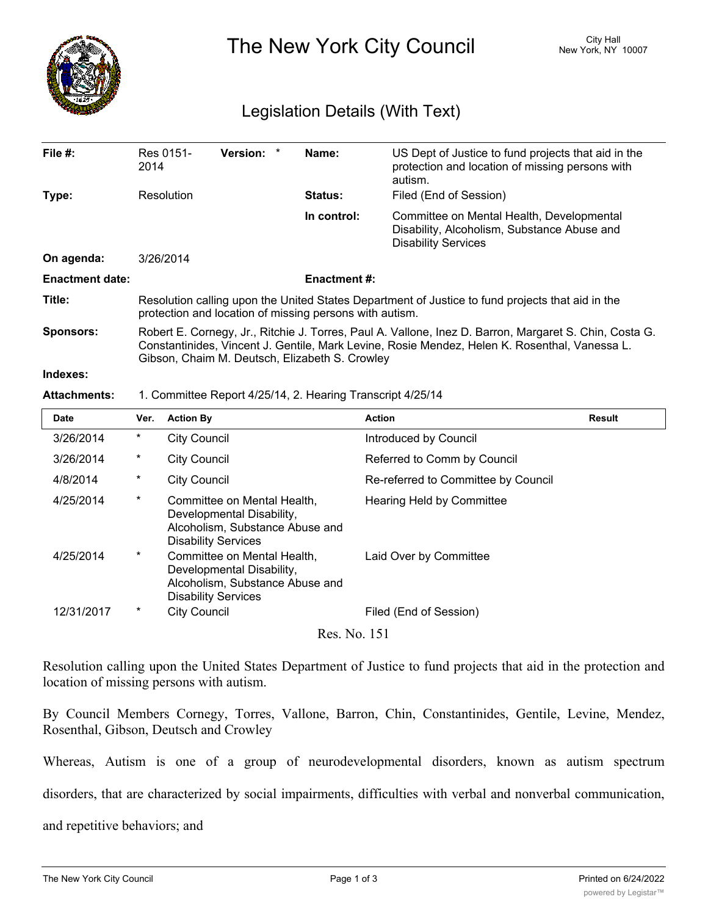

The New York City Council New York, NY 10007

## Legislation Details (With Text)

| File $#$ :             | Res 0151-<br>2014                                                                                                                                                                                                                                         | <b>Version:</b> |  | Name:          | US Dept of Justice to fund projects that aid in the<br>protection and location of missing persons with<br>autism.      |  |  |
|------------------------|-----------------------------------------------------------------------------------------------------------------------------------------------------------------------------------------------------------------------------------------------------------|-----------------|--|----------------|------------------------------------------------------------------------------------------------------------------------|--|--|
| Type:                  | Resolution                                                                                                                                                                                                                                                |                 |  | <b>Status:</b> | Filed (End of Session)                                                                                                 |  |  |
|                        |                                                                                                                                                                                                                                                           |                 |  | In control:    | Committee on Mental Health, Developmental<br>Disability, Alcoholism, Substance Abuse and<br><b>Disability Services</b> |  |  |
| On agenda:             | 3/26/2014                                                                                                                                                                                                                                                 |                 |  |                |                                                                                                                        |  |  |
| <b>Enactment date:</b> | <b>Enactment #:</b>                                                                                                                                                                                                                                       |                 |  |                |                                                                                                                        |  |  |
| Title:                 | Resolution calling upon the United States Department of Justice to fund projects that aid in the<br>protection and location of missing persons with autism.                                                                                               |                 |  |                |                                                                                                                        |  |  |
| <b>Sponsors:</b>       | Robert E. Cornegy, Jr., Ritchie J. Torres, Paul A. Vallone, Inez D. Barron, Margaret S. Chin, Costa G.<br>Constantinides, Vincent J. Gentile, Mark Levine, Rosie Mendez, Helen K. Rosenthal, Vanessa L.<br>Gibson, Chaim M. Deutsch, Elizabeth S. Crowley |                 |  |                |                                                                                                                        |  |  |
| Indexes:               |                                                                                                                                                                                                                                                           |                 |  |                |                                                                                                                        |  |  |
| <b>Attachments:</b>    | 1. Committee Report 4/25/14, 2. Hearing Transcript 4/25/14                                                                                                                                                                                                |                 |  |                |                                                                                                                        |  |  |

| <b>Date</b>  | Ver.     | <b>Action By</b>                                                                                                          | <b>Action</b>                       | <b>Result</b> |  |  |  |  |
|--------------|----------|---------------------------------------------------------------------------------------------------------------------------|-------------------------------------|---------------|--|--|--|--|
| 3/26/2014    | $\ast$   | <b>City Council</b>                                                                                                       | Introduced by Council               |               |  |  |  |  |
| 3/26/2014    | $^\ast$  | <b>City Council</b>                                                                                                       | Referred to Comm by Council         |               |  |  |  |  |
| 4/8/2014     | $^\star$ | <b>City Council</b>                                                                                                       | Re-referred to Committee by Council |               |  |  |  |  |
| 4/25/2014    | $\star$  | Committee on Mental Health,<br>Developmental Disability,<br>Alcoholism, Substance Abuse and<br><b>Disability Services</b> | Hearing Held by Committee           |               |  |  |  |  |
| 4/25/2014    | $\star$  | Committee on Mental Health,<br>Developmental Disability,<br>Alcoholism, Substance Abuse and<br><b>Disability Services</b> | Laid Over by Committee              |               |  |  |  |  |
| 12/31/2017   | *        | <b>City Council</b>                                                                                                       | Filed (End of Session)              |               |  |  |  |  |
| Res. No. 151 |          |                                                                                                                           |                                     |               |  |  |  |  |

Resolution calling upon the United States Department of Justice to fund projects that aid in the protection and location of missing persons with autism.

By Council Members Cornegy, Torres, Vallone, Barron, Chin, Constantinides, Gentile, Levine, Mendez, Rosenthal, Gibson, Deutsch and Crowley

Whereas, Autism is one of a group of neurodevelopmental disorders, known as autism spectrum

disorders, that are characterized by social impairments, difficulties with verbal and nonverbal communication,

and repetitive behaviors; and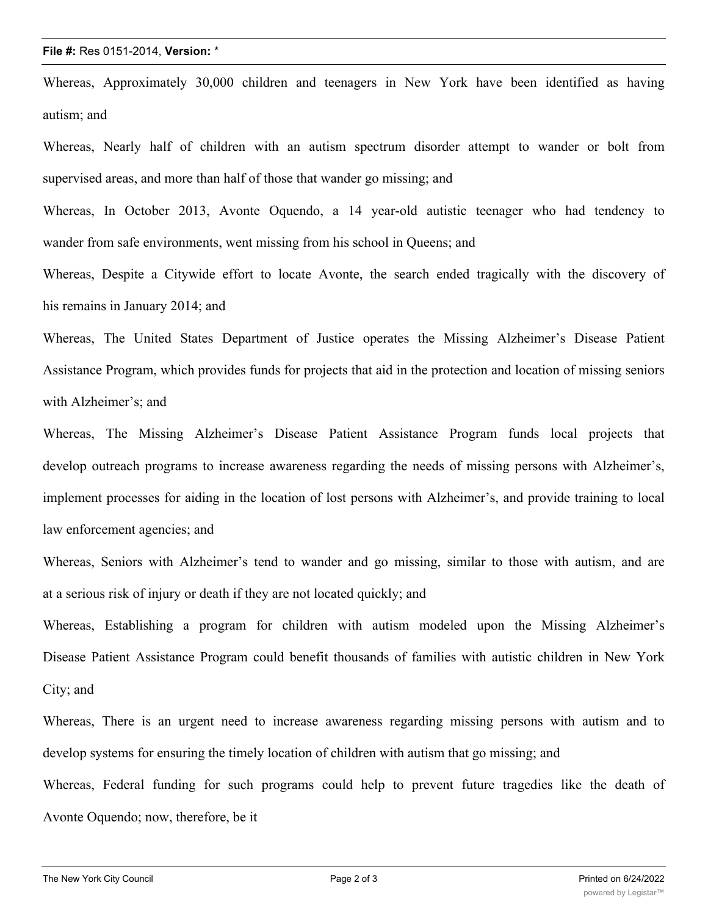## **File #:** Res 0151-2014, **Version:** \*

Whereas, Approximately 30,000 children and teenagers in New York have been identified as having autism; and

Whereas, Nearly half of children with an autism spectrum disorder attempt to wander or bolt from supervised areas, and more than half of those that wander go missing; and

Whereas, In October 2013, Avonte Oquendo, a 14 year-old autistic teenager who had tendency to wander from safe environments, went missing from his school in Queens; and

Whereas, Despite a Citywide effort to locate Avonte, the search ended tragically with the discovery of his remains in January 2014; and

Whereas, The United States Department of Justice operates the Missing Alzheimer's Disease Patient Assistance Program, which provides funds for projects that aid in the protection and location of missing seniors with Alzheimer's; and

Whereas, The Missing Alzheimer's Disease Patient Assistance Program funds local projects that develop outreach programs to increase awareness regarding the needs of missing persons with Alzheimer's, implement processes for aiding in the location of lost persons with Alzheimer's, and provide training to local law enforcement agencies; and

Whereas, Seniors with Alzheimer's tend to wander and go missing, similar to those with autism, and are at a serious risk of injury or death if they are not located quickly; and

Whereas, Establishing a program for children with autism modeled upon the Missing Alzheimer's Disease Patient Assistance Program could benefit thousands of families with autistic children in New York City; and

Whereas, There is an urgent need to increase awareness regarding missing persons with autism and to develop systems for ensuring the timely location of children with autism that go missing; and

Whereas, Federal funding for such programs could help to prevent future tragedies like the death of Avonte Oquendo; now, therefore, be it